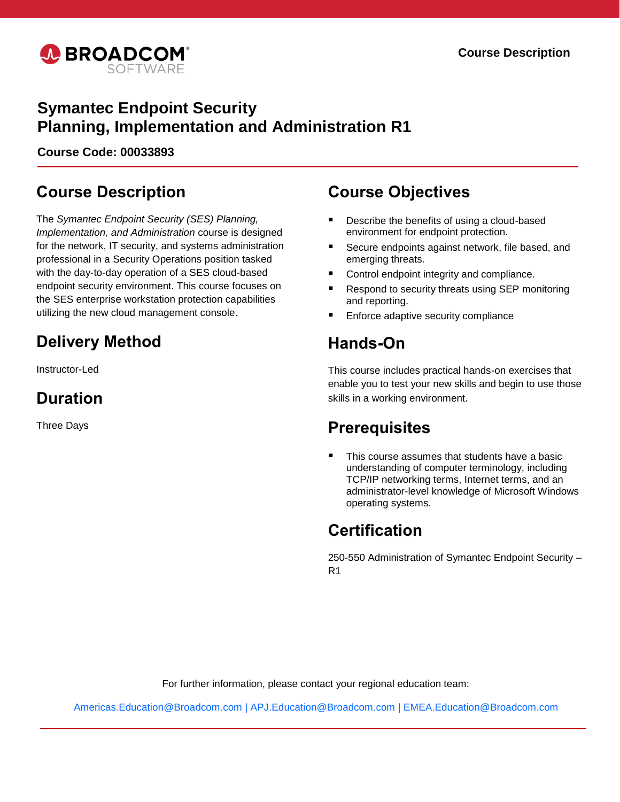

## **Symantec Endpoint Security Planning, Implementation and Administration R1**

**Course Code: 00033893**

## **Course Description**

The *Symantec Endpoint Security (SES) Planning, Implementation, and Administration* course is designed for the network, IT security, and systems administration professional in a Security Operations position tasked with the day-to-day operation of a SES cloud-based endpoint security environment. This course focuses on the SES enterprise workstation protection capabilities utilizing the new cloud management console.

# **Delivery Method**

Instructor-Led

## **Duration**

Three Days

## **Course Objectives**

- Describe the benefits of using a cloud-based environment for endpoint protection.
- Secure endpoints against network, file based, and emerging threats.
- Control endpoint integrity and compliance.
- Respond to security threats using SEP monitoring and reporting.
- Enforce adaptive security compliance

## **Hands-On**

This course includes practical hands-on exercises that enable you to test your new skills and begin to use those skills in a working environment.

## **Prerequisites**

 This course assumes that students have a basic understanding of computer terminology, including TCP/IP networking terms, Internet terms, and an administrator-level knowledge of Microsoft Windows operating systems.

## **Certification**

250-550 Administration of Symantec Endpoint Security – R1

For further information, please contact your regional education team:

[Americas.Education@Broadcom.com](mailto:Americas.Education@Broadcom.com) | [APJ.Education@Broadcom.com](mailto:APJ.Education@Broadcom.com) | [EMEA.Education@Broadcom.com](mailto:EMEA.Education@Broadcom.com)